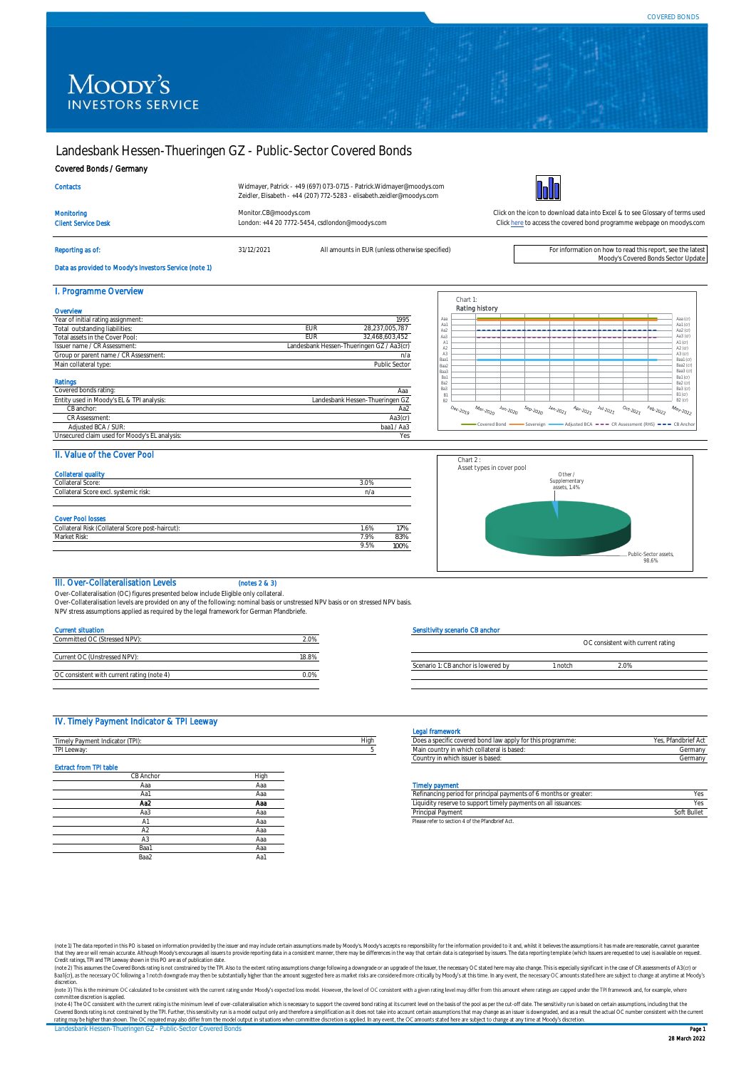# Moody's **INVESTORS SERVICE**

# Landesbank Hessen-Thueringen GZ - Public-Sector Covered Bonds

Client Service Desk London: +44 20 7772-5454, csdlondon@moodys.com

#### Covered Bonds / Germany

| Contacts |  |
|----------|--|
|          |  |

Widmayer, Patrick - +49 (697) 073-0715 - Patrick.Widmayer@moodys.com Zeidler, Elisabeth - +44 (207) 772-5283 - elisabeth.zeidler@moodys.com

Reporting as of: **31/12/2021** All amounts in EUR (unless otherwise specified) For information on how to read this report, see the lates



[Monitor.CB@moodys.com](mailto:Monitor.CB@moodys.com) Click on the icon to download data into Excel & to see Glossary of terms used [Click here](https://www.moodys.com/credit-ratings/Landesbank-HessenThueringen-GZ--PublicSector-Covered-Bonds-credit-rating-768047395) to access the covered bond programme webpage on moodys.com

Moody's Covered Bonds Sector Update

# Data as provided to Moody's Investors Service (note 1)

| I. Programme Overview                         |     |                                           |
|-----------------------------------------------|-----|-------------------------------------------|
| Overvlew                                      |     |                                           |
| Year of initial rating assignment:            |     | 1995                                      |
| Total outstanding liabilities:                | EUR | 28.237.005.787                            |
| Total assets in the Cover Pool:               | EUR | 32.468.603.452                            |
| Issuer name / CR Assessment:                  |     | Landesbank Hessen-Thueringen GZ / Aa3(cr) |
| Group or parent name / CR Assessment:         |     | n/a                                       |
| Main collateral type:                         |     | Public Sector                             |
| Ratings                                       |     |                                           |
| Covered bonds rating:                         |     | Aaa                                       |
| Entity used in Moody's EL & TPI analysis:     |     | Landesbank Hessen-Thueringen GZ           |
| CB anchor:                                    |     | Aa2                                       |
| CR Assessment:                                |     | Aa3(cr)                                   |
| Adjusted BCA / SUR:                           |     | baa1 / Aa3                                |
| Unsecured claim used for Moody's EL analysis: |     | Yes                                       |

|                       |                                      |                        |                     |                                                                                                                                |                                                                            |                                                                                                                                                                                                                                                                            |                                            |                  | Aaa (cr)                    |
|-----------------------|--------------------------------------|------------------------|---------------------|--------------------------------------------------------------------------------------------------------------------------------|----------------------------------------------------------------------------|----------------------------------------------------------------------------------------------------------------------------------------------------------------------------------------------------------------------------------------------------------------------------|--------------------------------------------|------------------|-----------------------------|
|                       |                                      |                        |                     |                                                                                                                                |                                                                            |                                                                                                                                                                                                                                                                            |                                            |                  | Aa1 $(\sigma)$              |
|                       |                                      |                        |                     |                                                                                                                                |                                                                            |                                                                                                                                                                                                                                                                            |                                            |                  | Aa2 (cr)                    |
|                       |                                      |                        |                     |                                                                                                                                |                                                                            |                                                                                                                                                                                                                                                                            |                                            |                  | Aa3 (cr)<br>$A1$ (cr)       |
|                       |                                      |                        |                     |                                                                                                                                |                                                                            |                                                                                                                                                                                                                                                                            |                                            |                  | A2 (cr)                     |
|                       |                                      |                        |                     |                                                                                                                                |                                                                            |                                                                                                                                                                                                                                                                            |                                            |                  | A3 (cr)                     |
|                       |                                      |                        |                     |                                                                                                                                |                                                                            |                                                                                                                                                                                                                                                                            |                                            |                  | Baa1 (cr)                   |
|                       |                                      |                        |                     |                                                                                                                                |                                                                            |                                                                                                                                                                                                                                                                            |                                            |                  | Baa2 (cr)                   |
|                       |                                      |                        |                     |                                                                                                                                |                                                                            |                                                                                                                                                                                                                                                                            |                                            |                  | Baa3 $(\sigma)$<br>Ba1 (cr) |
|                       |                                      |                        |                     |                                                                                                                                |                                                                            |                                                                                                                                                                                                                                                                            |                                            |                  | Ba2 (cr)                    |
|                       |                                      |                        |                     |                                                                                                                                |                                                                            |                                                                                                                                                                                                                                                                            |                                            |                  | Ba3 (cr)                    |
|                       |                                      |                        |                     |                                                                                                                                |                                                                            |                                                                                                                                                                                                                                                                            |                                            |                  | $B1$ (cr)                   |
|                       |                                      |                        |                     |                                                                                                                                |                                                                            |                                                                                                                                                                                                                                                                            |                                            |                  | $B2$ (cr)                   |
| $o_{e_{C\cdot 20lg}}$ | $\mathcal{M}_{\partial r\cdot 2020}$ | $\frac{J_{U_1}}{2000}$ | $s_{e\rho_{>2020}}$ | $\ensuremath{\mathnormal{Jq}}_{\ensuremath{\mathnormal{q}}_2,\ensuremath{\mathnormal{2}}_{Q_{\ensuremath{\mathnormal{Z}}_2}}}$ | $\mathcal{A}_{D \wedge \cdot \mathcal{Z}_{O_{\mathcal{Z}_{\mathcal{I}}}}}$ | $\ensuremath{\mathcal{N}}\xspace_{\ensuremath{\mathcal{U}}\xspace_{\ensuremath{\mathcal{L}}\xspace_{\mathcal{Q}}}^{J_{\ensuremath{\mathcal{U}}\xspace_{\mathcal{U}}}}\xspace_{\ensuremath{\mathcal{Q}}\xspace_{\mathcal{Q}}\ensuremath{\mathcal{I}}\xspace_{\mathcal{I}}}$ | $o_{c_{\tilde{t}} \cdot 202 \tilde{\ell}}$ | $F_{e_{b,2022}}$ | $M_{\partial y \sim 2022}$  |

# II. Value of the Cover Pool

| <b>Collateral quality</b><br>Collateral Score:                               | 3.0% |     |
|------------------------------------------------------------------------------|------|-----|
| Collateral Score excl. systemic risk:                                        | n/a  |     |
|                                                                              |      |     |
|                                                                              |      |     |
|                                                                              |      |     |
|                                                                              |      |     |
| <b>Cover Pool losses</b><br>Collateral Risk (Collateral Score post-haircut): | 1.6% | 17% |
| Market Risk:                                                                 | 7.9% | 83% |



# III. Over-Collateralisation Levels (notes 2 & 3)

Over-Collateralisation (OC) figures presented below include Eligible only collateral. Over-Collateralisation levels are provided on any of the following: nominal basis or unstressed NPV basis or on stressed NPV basis.

NPV stress assumptions applied as required by the legal framework for German Pfandbriefe.

## Current situation

| Committed OC (Stressed NPV):               | 20%   |
|--------------------------------------------|-------|
|                                            |       |
| Current OC (Unstressed NPV):               | 18.8% |
|                                            |       |
| OC consistent with current rating (note 4) |       |

#### Sensitivity scenario CB anchor

|                                     |               | OC consistent with current rating |  |
|-------------------------------------|---------------|-----------------------------------|--|
|                                     |               |                                   |  |
| Scenario 1: CB anchor is lowered by | <b>Inntch</b> | ን በ%                              |  |
|                                     |               |                                   |  |

#### IV. Timely Payment Indicator & TPI Leeway

|                                 |      |      | <b>EVILLE INTERNATIONAL</b>                                       |                    |
|---------------------------------|------|------|-------------------------------------------------------------------|--------------------|
| Timely Payment Indicator (TPI): |      | High | Does a specific covered bond law apply for this programme:        | Yes, Pfandbrief Ac |
| TPI Leeway:                     |      |      | Main country in which collateral is based:                        | Germany            |
|                                 |      |      | Country in which issuer is based:                                 | Germany            |
| <b>Extract from TPI table</b>   |      |      |                                                                   |                    |
| CB Anchor                       | High |      |                                                                   |                    |
| Aaa                             | Ааа  |      | <b>Timely payment</b>                                             |                    |
| Aa1                             | Ааа  |      | Refinancing period for principal payments of 6 months or greater: | Yes                |
| Aa2                             | Aaa  |      | Liquidity reserve to support timely payments on all issuances:    | Yes                |
| Aa3                             | Ааа  |      | Principal Payment                                                 | Soft Bullet        |
|                                 | Ааа  |      | Please refer to section 4 of the Pfandbrief Act.                  |                    |
| A2                              | Ааа  |      |                                                                   |                    |
| A3                              | Ааа  |      |                                                                   |                    |
| Baa1                            | Ааа  |      |                                                                   |                    |
| Baa2                            | Aa1  |      |                                                                   |                    |

# Legal framework

| Does a specific covered bond law apply for this programme: | Yes. Pfandbrief Act |
|------------------------------------------------------------|---------------------|
| Main country in which collateral is based:                 | Germany             |
| Country in which issuer is based:                          | Germany             |

|     |     | .                                                                 |             |
|-----|-----|-------------------------------------------------------------------|-------------|
| Aa1 |     | Refinancing period for principal payments of 6 months or greater: |             |
| Aa2 | Aaa | Liquidity reserve to support timely payments on all issuances:    |             |
| Aa3 | маа | Principal Payment                                                 | Soft Bullet |
|     |     | Plages rafer to section A of the Pfandhrief Act                   |             |

(note 1) The data reported in this PO is based on information provided by the issuer and may include certain assumptions made by Moody's Moody's accepts no responsibility for the information provided to it and, whilst it b that they are or will remain accurate. Although Moody's encourages all issuers to provide reporting data in a consistent manner, there may be differences in the way that certain data is categorised by issues. The data repo

discretion.

committee discretion is applied.<br>(note 4) The OC consistent with the current rating is the minimum level of over-collateralisation which is necessary to support the covered bond rating at its current level on the basis of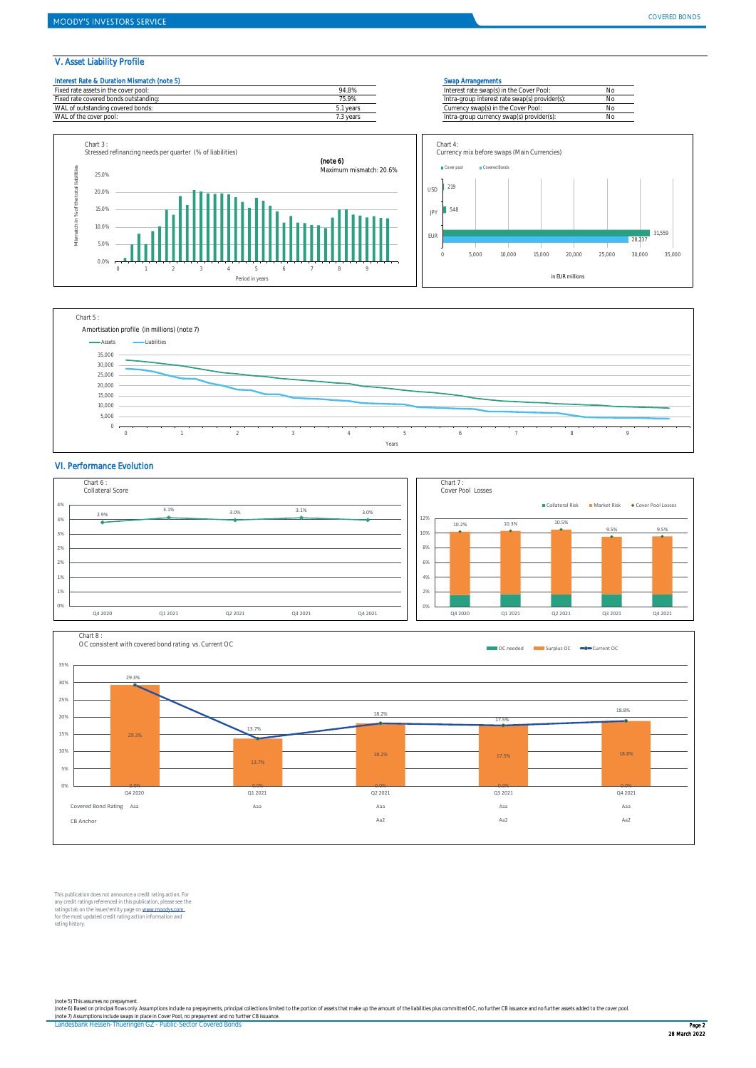#### V. Asset Liability Profile

WAL of the cover pool

# Interest Rate & Duration Mismatch (note 5) Swap Arrangements











#### VI. Performance Evolution





This publication does not announce a credit rating action. For any credit ratings referenced in this publication, please see the<br>ratings tab on the issuer/entity page on <u>www.moodys.com .</u><br>for the most updated credit rating action information and rating history.

(note 5) This assumes no prepayment.<br>(note 6) Based on principal fows only. Assumptions include no prepayments, principal collections limited to the portion of assets that make up the amount of the liabilities plus committ

Landesbank Hessen-Thueringen GZ - Public-Sector Covered Bonds Page 2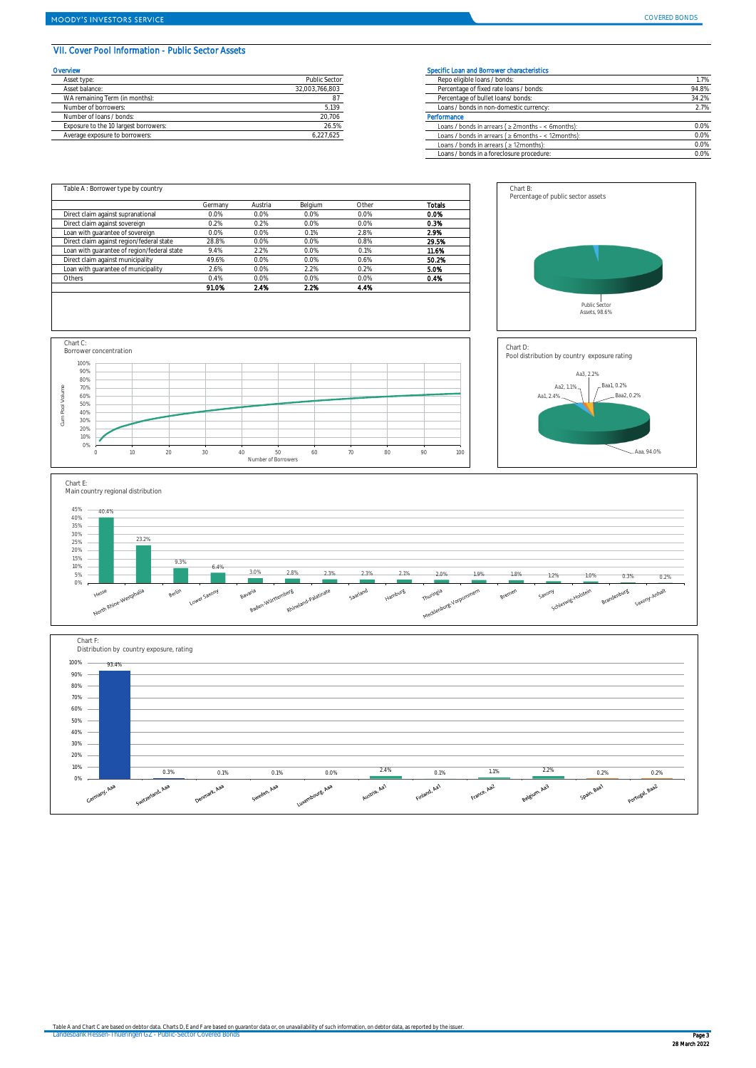### VII. Cover Pool Information - Public Sector Assets

| Overvlew                              |                      | Specific Loan and Borrower characteristics |
|---------------------------------------|----------------------|--------------------------------------------|
| Asset type:                           | <b>Public Sector</b> | Repo eligible loans / bonds:               |
| Asset balance:                        | 32.003.766.803       | Percentage of fixed rate loans / bonds:    |
| WA remaining Term (in months):        |                      | Percentage of bullet loans/ bonds:         |
| Number of borrowers:                  | 5,139                | Loans / bonds in non-domestic currency     |
| Number of Joans / bonds:              | 20,706               | Performance                                |
| Exposure to the 10 largest borrowers: | 26.5%                | Loans / bonds in arrears ( ≥ 2months - <   |
| Average exposure to borrowers:        | 6.227.625            | Loans / bonds in arrears ( ≥ 6months - <   |

| <b>rvlew</b>                          |                | Specific Loan and Borrower characteristics               |       |
|---------------------------------------|----------------|----------------------------------------------------------|-------|
| Asset type:                           | Public Sector  | Repo eligible loans / bonds:                             | 1.7%  |
| Asset balance:                        | 32.003.766.803 | Percentage of fixed rate loans / bonds:                  | 94.8% |
| WA remaining Term (in months):        |                | Percentage of bullet loans/ bonds:                       | 34.2% |
| Number of borrowers:                  | 5.139          | Loans / bonds in non-domestic currency:                  | 2.7%  |
| Number of loans / bonds:              | 20,706         | Performance                                              |       |
| Exposure to the 10 largest borrowers: | 26.5%          | Loans / bonds in arrears ( $\geq$ 2months - < 6months):  | 0.0%  |
| Average exposure to borrowers:        | 6,227,625      | Loans / bonds in arrears ( $\geq$ 6months - < 12months): | 0.0%  |
|                                       |                | Loans / bonds in arrears $( \geq 12$ months):            | 0.0%  |
|                                       |                | Loans / bonds in a foreclosure procedure:                | 0.0%  |
|                                       |                |                                                          |       |

|                                             | Germany | Austria | Belgium | Other | <b>Totals</b> |
|---------------------------------------------|---------|---------|---------|-------|---------------|
| Direct claim against supranational          | 0.0%    | 0.0%    | 0.0%    | 0.0%  | 0.0%          |
| Direct claim against sovereign              | 0.2%    | 0.2%    | 0.0%    | 0.0%  | 0.3%          |
| Loan with quarantee of sovereign            | 0.0%    | 0.0%    | 0.1%    | 2.8%  | 2.9%          |
| Direct claim against region/federal state   | 28.8%   | 0.0%    | 0.0%    | 0.8%  | 29.5%         |
| Loan with quarantee of region/federal state | 9.4%    | 2.2%    | 0.0%    | 0.1%  | 11.6%         |
| Direct claim against municipality           | 49.6%   | 0.0%    | 0.0%    | 0.6%  | 50.2%         |
| Loan with quarantee of municipality         | 2.6%    | 0.0%    | 2.2%    | 0.2%  | 5.0%          |
| Others                                      | 0.4%    | 0.0%    | 0.0%    | 0.0%  | 0.4%          |
|                                             | 91.0%   | 2.4%    | 2.2%    | 4.4%  |               |









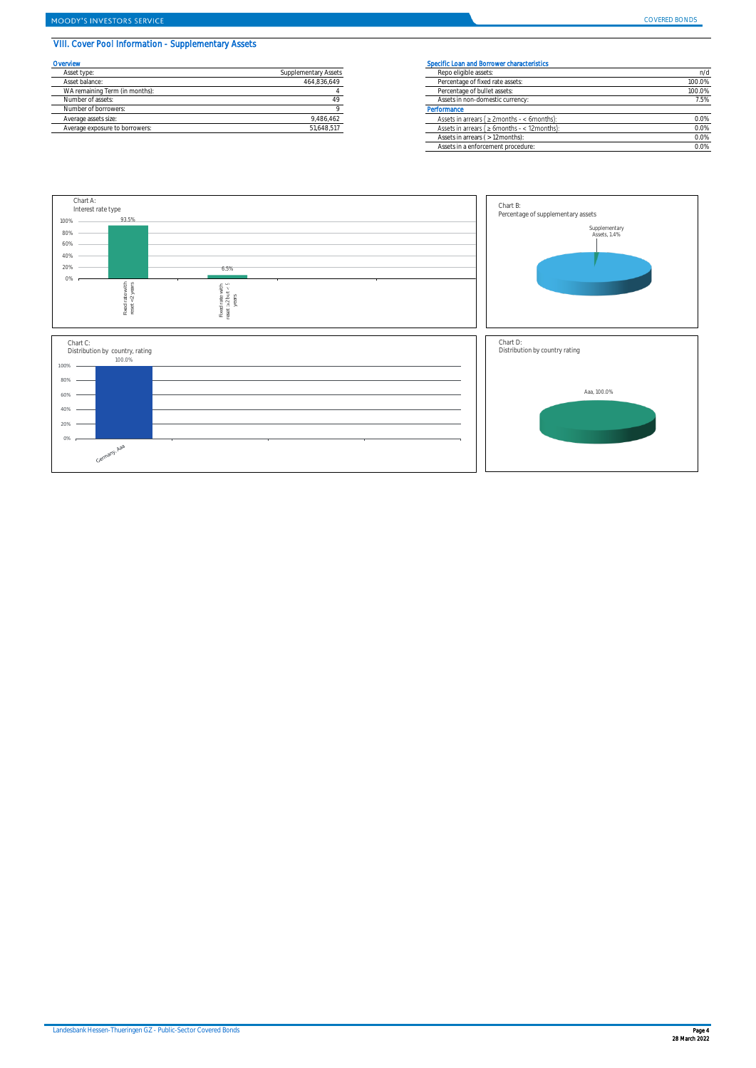# VIII. Cover Pool Information - Supplementary Assets

| Overview                       |                      | <b>Specific Loar</b> |
|--------------------------------|----------------------|----------------------|
| Asset type:                    | Supplementary Assets | Repo elic            |
| Asset balance:                 | 464.836.649          | Percenta             |
| WA remaining Term (in months): |                      | Percenta             |
| Number of assets:              | 49                   | Assets in            |
| Number of borrowers:           |                      | Performance          |
| Average assets size:           | 9.486.462            | Assets in            |
| Average exposure to borrowers: | 51.648.517           | Assets in            |

#### Specific Loan and Borrower characteristics

| Asset type:                    | Supplementary Assets | Repo eligible assets:                               | n/d    |  |  |
|--------------------------------|----------------------|-----------------------------------------------------|--------|--|--|
| Asset balance:                 | 464,836,649          | Percentage of fixed rate assets:                    | 100.0% |  |  |
| WA remaining Term (in months): |                      | Percentage of bullet assets:                        | 100.0% |  |  |
| Number of assets:              |                      | Assets in non-domestic currency:                    | 7.5%   |  |  |
| Number of borrowers:           |                      | Performance                                         |        |  |  |
| Average assets size:           | 9,486,462            | Assets in arrears ( $\geq$ 2months - < 6months):    | 0.0%   |  |  |
| Average exposure to borrowers: | 51.648.517           | Assets in arrears ( $\geq 6$ months - < 12 months): |        |  |  |
|                                |                      | Assets in arrears ( > 12 months):                   | 0.0%   |  |  |
|                                |                      | Assets in a enforcement procedure:                  | 0.0%   |  |  |

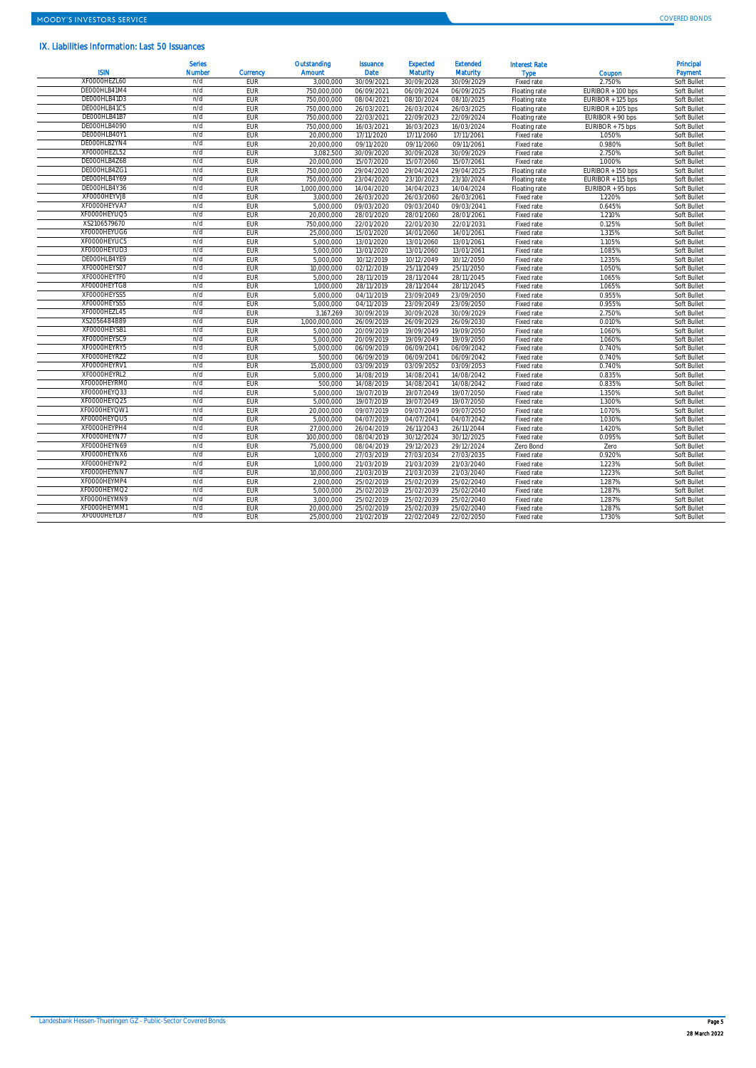# IX. Liabilities Information: Last 50 Issuances

| <b>ISIN</b>  | <b>Serles</b><br>Number | <b>Currency</b> | Outstanding<br>Amount | <b>Issuance</b><br><b>Date</b> | <b>Expected</b><br><b>Maturity</b> | <b>Extended</b><br><b>Maturity</b> | <b>Interest Rate</b><br><b>Type</b> | Coupon            | Principal<br>Payment |
|--------------|-------------------------|-----------------|-----------------------|--------------------------------|------------------------------------|------------------------------------|-------------------------------------|-------------------|----------------------|
| XF0000HEZL60 | n/d                     | EUR             | 3.000.000             | 30/09/2021                     | 30/09/2028                         | 30/09/2029                         | Fixed rate                          | 2.750%            | Soft Bullet          |
| DE000HLB41M4 | n/d                     | EUR             | 750.000.000           | 06/09/2021                     | 06/09/2024                         | 06/09/2025                         | Floating rate                       | EURIBOR + 100 bps | Soft Bullet          |
| DE000HLB41D3 | n/d                     | EUR             | 750,000,000           | 08/04/2021                     | 08/10/2024                         | 08/10/2025                         | Floating rate                       | EURIBOR + 125 bps | Soft Bullet          |
| DE000HLB41C5 | n/d                     | EUR             | 750.000.000           | 26/03/2021                     | 26/03/2024                         | 26/03/2025                         | Floating rate                       | EURIBOR + 105 bps | Soft Bullet          |
| DE000HLB41B7 | n/d                     | EUR             | 750,000,000           | 22/03/2021                     | 22/09/2023                         | 22/09/2024                         | Floating rate                       | EURIBOR + 90 bps  | Soft Bullet          |
| DE000HLB4090 | n/d                     | EUR             | 750.000.000           | 16/03/2021                     | 16/03/2023                         | 16/03/2024                         | Floating rate                       | EURIBOR + 75 bps  | Soft Bullet          |
| DE000HLB40Y1 | n/d                     | EUR             | 20.000.000            | 17/11/2020                     | 17/11/2060                         | 17/11/2061                         | Fixed rate                          | 1.050%            | Soft Bullet          |
| DE000HLB2YN4 | n/d                     | EUR             | 20,000,000            | 09/11/2020                     | 09/11/2060                         | 09/11/2061                         | Fixed rate                          | 0.980%            | Soft Bullet          |
| XF0000HEZL52 | n/d                     | EUR             | 3,082,500             | 30/09/2020                     | 30/09/2028                         | 30/09/2029                         | Fixed rate                          | 2.750%            | Soft Bullet          |
| DE000HLB4Z68 | n/d                     | EUR             | 20.000.000            | 15/07/2020                     | 15/07/2060                         | 15/07/2061                         | Fixed rate                          | 1.000%            | Soft Bullet          |
| DE000HLB4ZG1 | n/d                     | EUR             | 750.000.000           | 29/04/2020                     | 29/04/2024                         | 29/04/2025                         | Floating rate                       | EURIBOR + 150 bps | Soft Bullet          |
| DE000HLB4Y69 | n/d                     | EUR             | 750.000.000           | 23/04/2020                     | 23/10/2023                         | 23/10/2024                         | Floating rate                       | EURIBOR + 115 bps | Soft Bullet          |
| DE000HLB4Y36 | n/d                     | EUR             | 1.000.000.000         | 14/04/2020                     | 14/04/2023                         | 14/04/2024                         | Floating rate                       | EURIBOR + 95 bps  | Soft Bullet          |
| XF0000HEYVJ8 | n/d                     | EUR             | 3,000,000             | 26/03/2020                     | 26/03/2060                         | 26/03/2061                         | Fixed rate                          | 1.220%            | Soft Bullet          |
| XF0000HEYVA7 | n/d                     | EUR             | 5,000,000             | 09/03/2020                     | 09/03/2040                         | 09/03/2041                         | Fixed rate                          | 0.645%            | Soft Bullet          |
| XF0000HEYUQ5 | n/d                     | EUR             | 20.000.000            | 28/01/2020                     | 28/01/2060                         | 28/01/2061                         | Fixed rate                          | 1.210%            | Soft Bullet          |
| XS2106579670 | n/d                     | <b>EUR</b>      | 750.000.000           | 22/01/2020                     | 22/01/2030                         | 22/01/2031                         | Fixed rate                          | 0.125%            | Soft Bullet          |
| XF0000HEYUG6 | n/d                     | EUR             | 25,000,000            | 15/01/2020                     | 14/01/2060                         | 14/01/2061                         | Fixed rate                          | 1.315%            | Soft Bullet          |
| XF0000HEYUC5 | n/d                     | EUR             | 5.000.000             | 13/01/2020                     | 13/01/2060                         | 13/01/2061                         | Fixed rate                          | 1.105%            | Soft Bullet          |
| XF0000HEYUD3 | n/d                     | EUR             | 5,000,000             | 13/01/2020                     | 13/01/2060                         | 13/01/2061                         | Fixed rate                          | 1.085%            | Soft Bullet          |
| DE000HLB4YE9 | n/d                     | EUR             | 5.000.000             | 10/12/2019                     | 10/12/2049                         | 10/12/2050                         | Fixed rate                          | 1.235%            | Soft Bullet          |
| XF0000HEYS07 | n/d                     | EUR             | 10.000.000            | 02/12/2019                     | 25/11/2049                         | 25/11/2050                         | Fixed rate                          | 1.050%            | Soft Bullet          |
| XF0000HEYTF0 | n/d                     | EUR             | 5.000.000             | 28/11/2019                     | 28/11/2044                         | 28/11/2045                         | Fixed rate                          | 1.065%            | Soft Bullet          |
| XF0000HEYTG8 | n/d                     | EUR             | 1,000,000             | 28/11/2019                     | 28/11/2044                         | 28/11/2045                         | Fixed rate                          | 1.065%            | Soft Bullet          |
| XF0000HEYSS5 | n/d                     | EUR             | 5.000.000             | 04/11/2019                     | 23/09/2049                         | 23/09/2050                         | Fixed rate                          | 0.955%            | Soft Bullet          |
| XF0000HEYSS5 | n/d                     | EUR             | 5,000,000             | 04/11/2019                     | 23/09/2049                         | 23/09/2050                         | Fixed rate                          | 0.955%            | Soft Bullet          |
| XF0000HEZL45 | n/d                     | EUR             | 3.167.269             | 30/09/2019                     | 30/09/2028                         | 30/09/2029                         | Fixed rate                          | 2.750%            | Soft Bullet          |
| XS2056484889 | n/d                     | EUR             | 1.000.000.000         | 26/09/2019                     | 26/09/2029                         | 26/09/2030                         | Fixed rate                          | 0.010%            | Soft Bullet          |
| XF0000HEYSB1 | n/d                     | EUR             | 5,000,000             | 20/09/2019                     | 19/09/2049                         | 19/09/2050                         | Fixed rate                          | 1.060%            | Soft Bullet          |
| XF0000HEYSC9 | n/d                     | EUR             | 5,000,000             | 20/09/2019                     | 19/09/2049                         | 19/09/2050                         | Fixed rate                          | 1.060%            | Soft Bullet          |
| XF0000HEYRY5 | n/d                     | EUR             | 5.000.000             | 06/09/2019                     | 06/09/2041                         | 06/09/2042                         | Fixed rate                          | 0.740%            | Soft Bullet          |
| XF0000HEYRZ2 | n/d                     | EUR             | 500.000               | 06/09/2019                     | 06/09/2041                         | 06/09/2042                         | Fixed rate                          | 0.740%            | Soft Bullet          |
| XF0000HEYRV1 | n/d                     | EUR             | 15.000.000            | 03/09/2019                     | 03/09/2052                         | 03/09/2053                         | Fixed rate                          | 0.740%            | Soft Bullet          |
| XF0000HEYRL2 | n/d                     | EUR             | 5,000,000             | 14/08/2019                     | 14/08/2041                         | 14/08/2042                         | Fixed rate                          | 0.835%            | Soft Bullet          |
| XF0000HEYRM0 | n/d                     | EUR             | 500,000               | 14/08/2019                     | 14/08/2041                         | 14/08/2042                         | Fixed rate                          | 0.835%            | Soft Bullet          |
| XF0000HEYQ33 | n/d                     | EUR             | 5,000,000             | 19/07/2019                     | 19/07/2049                         | 19/07/2050                         | Fixed rate                          | 1.350%            | Soft Bullet          |
| XF0000HEYQ25 | n/d                     | EUR             | 5.000.000             | 19/07/2019                     | 19/07/2049                         | 19/07/2050                         | Fixed rate                          | 1.300%            | Soft Bullet          |
| XF0000HEYOW1 | n/d                     | EUR             | 20,000,000            | 09/07/2019                     | 09/07/2049                         | 09/07/2050                         | Fixed rate                          | 1.070%            | Soft Bullet          |
| XF0000HEYQU5 | n/d                     | EUR             | 5.000.000             | 04/07/2019                     | 04/07/2041                         | 04/07/2042                         | Fixed rate                          | 1.030%            | Soft Bullet          |
| XF0000HEYPH4 | n/d                     | EUR             | 27,000,000            | 26/04/2019                     | 26/11/2043                         | 26/11/2044                         | Fixed rate                          | 1.420%            | Soft Bullet          |
| XF0000HEYN77 | n/d                     | EUR             | 100.000.000           | 08/04/2019                     | 30/12/2024                         | 30/12/2025                         | Fixed rate                          | 0.095%            | Soft Bullet          |
| XF0000HEYN69 | n/d                     | EUR             | 75.000.000            | 08/04/2019                     | 29/12/2023                         | 29/12/2024                         | Zero Bond                           | Zero              | Soft Bullet          |
| XF0000HEYNX6 | n/d                     | EUR             | 1.000.000             | 27/03/2019                     | 27/03/2034                         | 27/03/2035                         | Fixed rate                          | 0.920%            | Soft Bullet          |
| XF0000HEYNP2 | n/d                     | EUR             | 1,000,000             | 21/03/2019                     | 21/03/2039                         | 21/03/2040                         | Fixed rate                          | 1.223%            | Soft Bullet          |
| XF0000HEYNN7 | n/d                     | EUR             | 10,000,000            | 21/03/2019                     | 21/03/2039                         | 21/03/2040                         | Fixed rate                          | 1.223%            | Soft Bullet          |
| XF0000HEYMP4 | n/d                     | EUR             | 2,000,000             | 25/02/2019                     | 25/02/2039                         | 25/02/2040                         | Fixed rate                          | 1.287%            | Soft Bullet          |
| XF0000HEYMQ2 | n/d                     | EUR             | 5.000.000             | 25/02/2019                     | 25/02/2039                         | 25/02/2040                         | Fixed rate                          | 1.287%            | Soft Bullet          |
| XF0000HEYMN9 | n/d                     | EUR             | 3.000.000             | 25/02/2019                     | 25/02/2039                         | 25/02/2040                         | Fixed rate                          | 1.287%            | Soft Bullet          |
| XF0000HEYMM1 | n/d                     | <b>FUR</b>      | 20,000,000            | 25/02/2019                     | 25/02/2039                         | 25/02/2040                         | Fixed rate                          | 1.287%            | Soft Bullet          |
| XF0000HEYL87 | n/d                     | EUR             | 25.000.000            | 21/02/2019                     | 22/02/2049                         | 22/02/2050                         | Fixed rate                          | 1.730%            | Soft Bullet          |